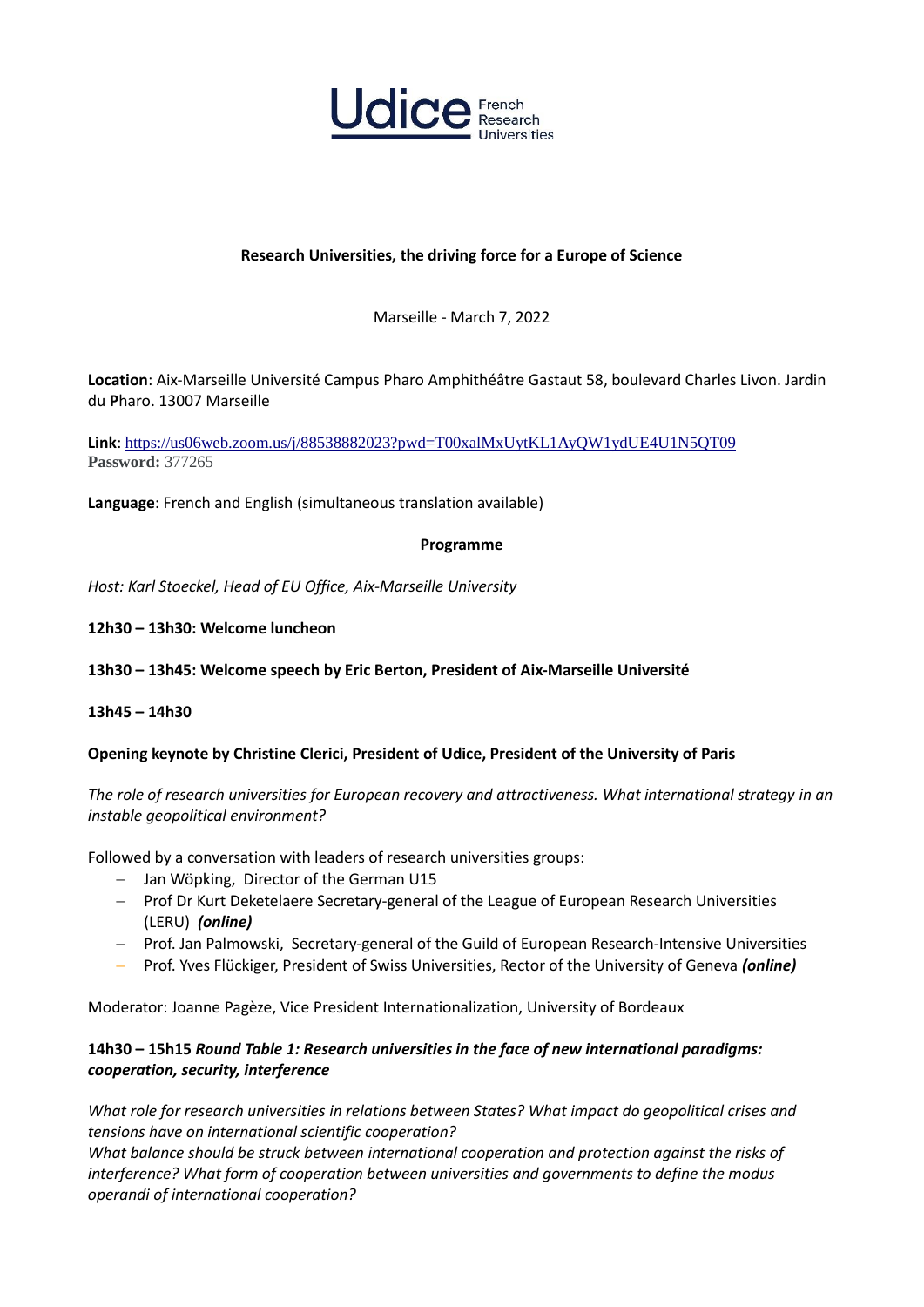

# **Research Universities, the driving force for a Europe of Science**

Marseille - March 7, 2022

**Location**: Aix-Marseille Université Campus Pharo Amphithéâtre Gastaut 58, boulevard Charles Livon. Jardin du **P**haro. 13007 Marseille

**Link**: [https://us06web.zoom.us/j/88538882023?pwd=T00xalMxUytKL1AyQW1ydUE4U1N5QT09](https://www.google.com/url?q=https://us06web.zoom.us/j/88538882023?pwd%3DT00xalMxUytKL1AyQW1ydUE4U1N5QT09&sa=D&source=calendar&usd=2&usg=AOvVaw3pZnEJRu7C3e4gCAN1lv47) **Password:** 377265

**Language**: French and English (simultaneous translation available)

### **Programme**

*Host: Karl Stoeckel, Head of EU Office, Aix-Marseille University* 

- **12h30 – 13h30: Welcome luncheon**
- **13h30 – 13h45: Welcome speech by Eric Berton, President of Aix-Marseille Université**

### **13h45 – 14h30**

### **Opening keynote by Christine Clerici, President of Udice, President of the University of Paris**

*The role of research universities for European recovery and attractiveness. What international strategy in an instable geopolitical environment?*

Followed by a conversation with leaders of research universities groups:

- Jan Wöpking, Director of the German U15
- Prof Dr Kurt Deketelaere Secretary-general of the League of European Research Universities (LERU) *(online)*
- Prof. Jan Palmowski, Secretary-general of the Guild of European Research-Intensive Universities
- Prof. Yves Flückiger, President of Swiss Universities, Rector of the University of Geneva *(online)*

Moderator: Joanne Pagèze, Vice President Internationalization, University of Bordeaux

## **14h30 – 15h15** *Round Table 1: Research universities in the face of new international paradigms: cooperation, security, interference*

*What role for research universities in relations between States? What impact do geopolitical crises and tensions have on international scientific cooperation?* 

*What balance should be struck between international cooperation and protection against the risks of interference? What form of cooperation between universities and governments to define the modus operandi of international cooperation?*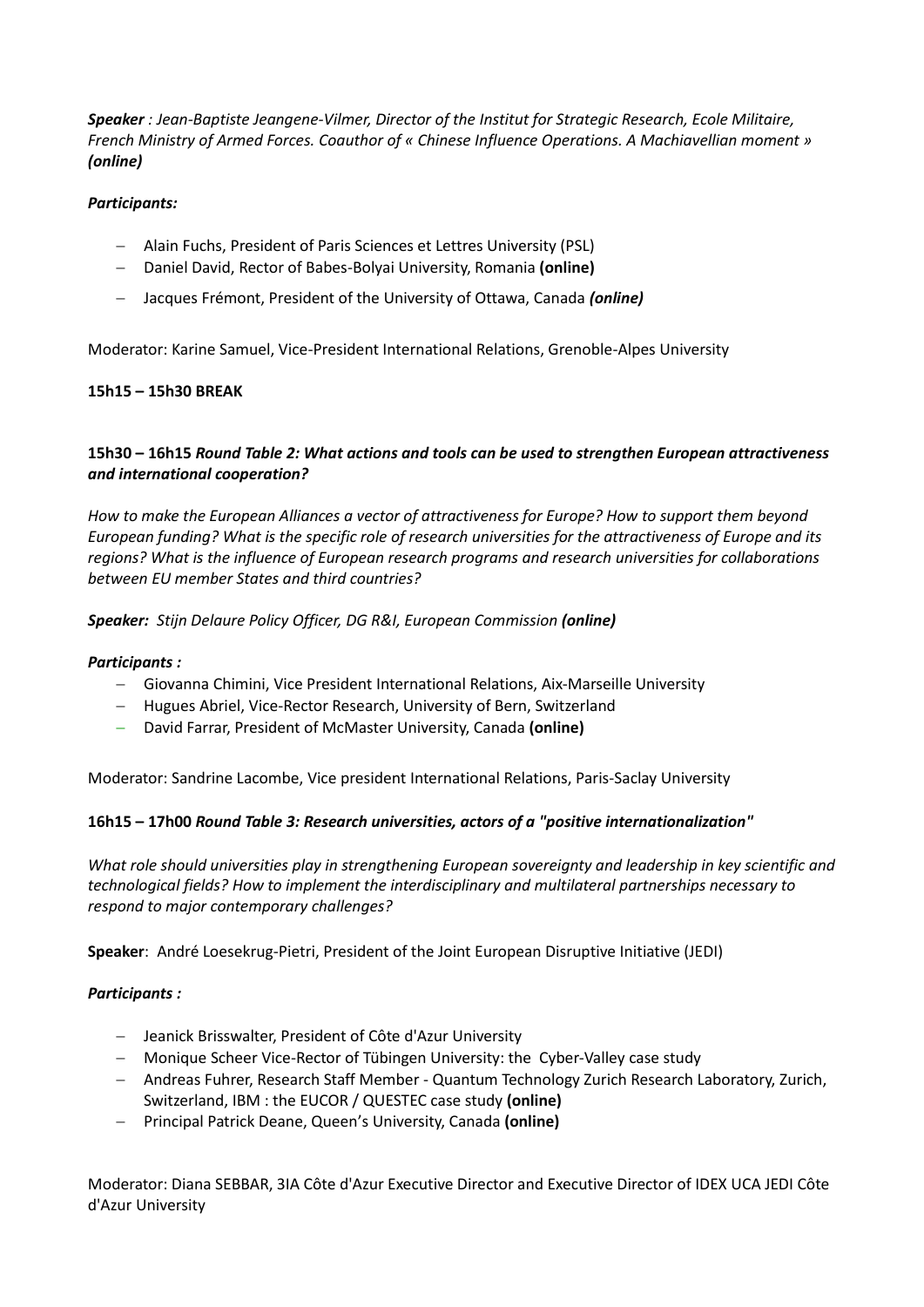*Speaker : Jean-Baptiste Jeangene-Vilmer, Director of the Institut for Strategic Research, Ecole Militaire, French Ministry of Armed Forces. Coauthor of « Chinese Influence Operations. A Machiavellian moment » (online)*

## *Participants:*

- Alain Fuchs, President of Paris Sciences et Lettres University (PSL)
- Daniel David, Rector of Babes-Bolyai University, Romania **(online)**
- Jacques Frémont, President of the University of Ottawa, Canada *(online)*

Moderator: Karine Samuel, Vice-President International Relations, Grenoble-Alpes University

## **15h15 – 15h30 BREAK**

# **15h30 – 16h15** *Round Table 2: What actions and tools can be used to strengthen European attractiveness and international cooperation?*

*How to make the European Alliances a vector of attractiveness for Europe? How to support them beyond European funding? What is the specific role of research universities for the attractiveness of Europe and its regions? What is the influence of European research programs and research universities for collaborations between EU member States and third countries?*

*Speaker: Stijn Delaure Policy Officer, DG R&I, European Commission (online)*

## *Participants :*

- Giovanna Chimini, Vice President International Relations, Aix-Marseille University
- Hugues Abriel, Vice-Rector Research, University of Bern, Switzerland
- David Farrar, President of McMaster University, Canada **(online)**

Moderator: Sandrine Lacombe, Vice president International Relations, Paris-Saclay University

## **16h15 – 17h00** *Round Table 3: Research universities, actors of a "positive internationalization"*

*What role should universities play in strengthening European sovereignty and leadership in key scientific and technological fields? How to implement the interdisciplinary and multilateral partnerships necessary to respond to major contemporary challenges?*

**Speaker**: André Loesekrug-Pietri, President of the Joint European Disruptive Initiative (JEDI)

## *Participants :*

- Jeanick Brisswalter, President of Côte d'Azur University
- Monique Scheer Vice-Rector of Tübingen University: the Cyber-Valley case study
- Andreas Fuhrer, Research Staff Member Quantum Technology Zurich Research Laboratory, Zurich, Switzerland, IBM : the EUCOR / QUESTEC case study **(online)**
- Principal Patrick Deane, Queen's University, Canada **(online)**

Moderator: Diana SEBBAR, 3IA Côte d'Azur Executive Director and Executive Director of IDEX UCA JEDI Côte d'Azur University